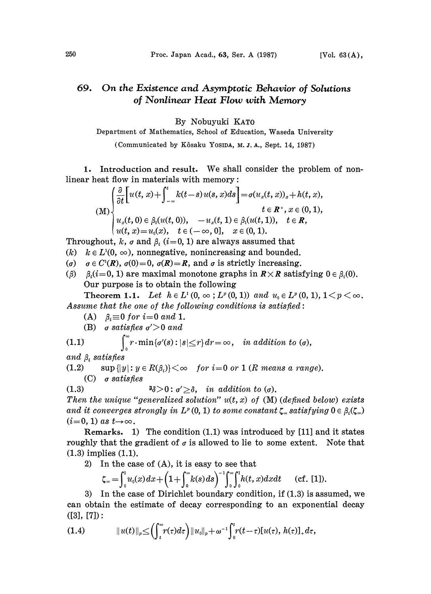## On the Existence and Asymptotic Behavior of Solutions 69. of Nonlinear Heat Flow with Memory

By Nobuyuki KATO

Department of Mathematics, School of Education, Waseda University

(Communicated by Kôsaku Yosipa, M. J. A., Sept. 14, 1987)

1. Introduction and result. We shall consider the problem of nonlinear heat flow in materials with memory:

$$
(M)\begin{cases} \frac{\partial}{\partial t}\bigg[u(t,x)+\int_{-\infty}^t k(t-s)\,u(s,x)ds\bigg]=\sigma(u_x(t,x))_x+h(t,x),\\ \hspace{10mm} t\in R^+, x\in (0,1),\\ u_x(t,0)\in \beta_0(u(t,0)), \quad -u_x(t,1)\in \beta_1(u(t,1)), \quad t\in R,\\ u(t,x)=u_0(x), \quad t\in (-\infty,0], \quad x\in (0,1). \end{cases}
$$

Throughout, k,  $\sigma$  and  $\beta_i$  (i=0, 1) are always assumed that

(k)  $k \in L^1(0, \infty)$ , nonnegative, nonincreasing and bounded.

- ( $\sigma$ )  $\sigma \in C^{1}(R)$ ,  $\sigma(0)=0$ ,  $\sigma(R)=R$ , and  $\sigma$  is strictly increasing.
- ( $\beta$ )  $\beta_i(i=0, 1)$  are maximal monotone graphs in  $R \times R$  satisfying  $0 \in \beta_i(0)$ . Our purpose is to obtain the following

Theorem 1.1. Let  $h \in L^1(0, \infty; L^p(0, 1))$  and  $u_0 \in L^p(0, 1), 1 \le p \le \infty$ . Assume that the one of the following conditions is satisfied:

(A)  $\beta_i \equiv 0$  for  $i=0$  and 1.

(B) *of satisfies* 
$$
\sigma' > 0
$$
 *and*

 $\rho_{\infty}$ 

(1.1) 
$$
\int_{\Omega} r \cdot \min \{ \sigma'(s) : |s| \leq r \} dr = \infty, \quad in \ addition \ to \ (0),
$$

and  $\beta_i$  satisfies

(1.2) sup  $\{|y|: y \in R(\beta_i)\} < \infty$  for  $i=0$  or 1 (R means a range).

(C)  $\sigma$  satisfies

(1.3)  $\exists \delta > 0 : \sigma' \geq \delta$ , in addition to ( $\sigma$ ).

Then the unique "generalized solution"  $u(t, x)$  of (M) (defined below) exists and it converges strongly in  $L^p(0, 1)$  to some constant  $\zeta_{\infty}$  satisfying  $0 \in \beta_i(\zeta_{\infty})$  $(i=0, 1)$  as  $t\rightarrow\infty$ .

Remarks. 1) The condition (1.1) was introduced by [11] and it states roughly that the gradient of  $\sigma$  is allowed to lie to some extent. Note that  $(1.3)$  implies  $(1.1)$ .

2) In the case of (A), it is easy to see that

$$
\zeta_{\infty} = \int_0^1 u_0(x) dx + \left(1 + \int_0^{\infty} k(s) ds\right)^{-1} \int_0^{\infty} \int_0^1 h(t, x) dx dt \quad \text{(cf. [1]).}
$$

3) In the case of Dirichlet boundary condition, if  $(1.3)$  is assumed, we can obtain the estimate of decay corresponding to an exponential decay  $([3], [7])$ :

(1.4) 
$$
||u(t)||_p \leq \left(\int_t^{\infty} r(\tau) d\tau\right) ||u_0||_p + \omega^{-1} \int_0^t r(t-\tau) [u(\tau), h(\tau)]_+ d\tau,
$$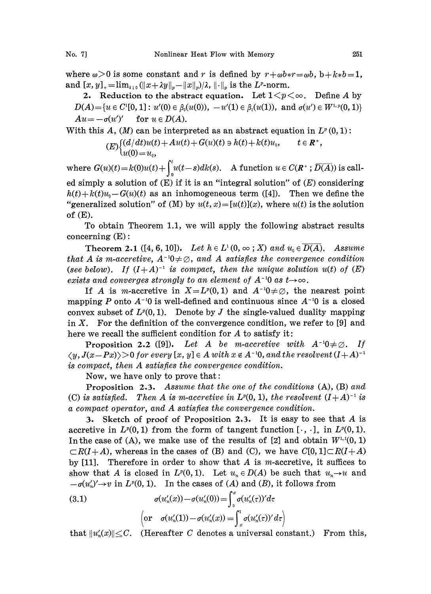where  $\omega>0$  is some constant and r is defined by  $r+\omega b*r=\omega b$ ,  $b+k*b=1$ , and  $[x, y]_+ = \lim_{\lambda \downarrow 0} (||x + \lambda y||_p - ||x||_p)/\lambda$ ,  $|| \cdot ||_p$  is the  $L^p$ -norm.

2. Reduction to the abstract equation. Let  $1 \le p \le \infty$ . Define A by  $D(A) = \{u \in C^1[0, 1]: u'(0) \in \beta_0(u(0)), -u'(1) \in \beta_1(u(1)), \text{ and } \sigma(u') \in W^{1, p}(0, 1)\}\$  $Au = -\sigma(u')'$  for  $u \in D(A)$ .

With this A,  $(M)$  can be interpreted as an abstract equation in  $L^p(0,1)$ :

$$
(E)\begin{cases}(d/dt)u(t)+Au(t)+G(u)(t)\ni h(t)+k(t)u_0, \quad t\in\mathbb{R}^+,\\u(0)=u_0,\end{cases}
$$

where  $G(u)(t) = k(0)u(t) + \int_0^t u(t-s)dk(s)$ . A function  $u \in C(\mathbb{R}^+; \overline{D(A)})$  is called simply a solution of  $(E)$  if it is an "integral solution" of  $(E)$  considering  $h(t)+k(t)u_0-G(u)(t)$  as an inhomogeneous term ([4]). Then we define the "generalized solution" of (M) by  $u(t, x) = [u(t)](x)$ , where  $u(t)$  is the solution of (E).

To obtain Theorem 1.1, we will apply the following abstract results concerning  $(E)$ :

**Theorem 2.1** ([4, 6, 10]). Let  $h \in L^1(0, \infty; X)$  and  $u_0 \in \overline{D(A)}$ . Assume that A is m-accretive,  $A^{-1}0\neq\emptyset$ , and A satisfies the convergence condition (see below). If  $(I+A)^{-1}$  is compact, then the unique solution  $u(t)$  of  $(E)$ exists and converges strongly to an element of  $A^{-1}0$  as  $t\rightarrow\infty$ .

If A is m-accretive in  $X = L^p(0,1)$  and  $A^{-1}0 \neq \emptyset$ , the nearest point mapping P onto  $A^{-1}0$  is well-defined and continuous since  $A^{-1}0$  is a closed convex subset of  $L^p(0, 1)$ . Denote by J the single-valued duality mapping in X. For the definition of the convergence condition, we refer to [9] and here we recall the sufficient condition for  $A$  to satisfy it:

**Proposition 2.2** ([9]). Let A be m-accretive with  $A^{-1}0 \neq \emptyset$ . If is compact, then A satisfies the convergence condition.  $\langle y, J(x\!-\!Px)\rangle\!>\!0$  for every  $[x,y]\in A$  with  $x\not\in A$  <sup>-1</sup>0, and the resolvent (I  $\!+\!A)$ 

Now, we have only to prove that:

**Proposition 2.3.** Assume that the one of the conditions  $(A)$ ,  $(B)$  and (C) is satisfied. Then A is m-accretive in  $L^p(0, 1)$ , the resolvent  $(I+A)^{-1}$  is a compact operator, and A satisfies the convergence condition. a compact operator, and A satisfies the convergence condition.

3. Sketch of proof of Proposition 2.3. It is easy to see that  $A$  is accretive in  $L^p(0, 1)$  from the form of tangent function  $[\cdot, \cdot]_+$  in  $L^p(0, 1)$ . In the case of (A), we make use of the results of [z] and obtain  $W^{1,1}(0, 1)$  $CR(I+A)$ , whereas in the cases of (B) and (C), we have  $C[0, 1] \subset R(I+A)$ by  $[11]$ . Therefore in order to show that A is m-accretive, it suffices to show that A is closed in  $L^p(0, 1)$ . Let  $u_n \in D(A)$  be such that  $u_n \to u$  and  $-\sigma(u'_n)' \to v$  in  $L^p(0, 1)$ . In the cases of (A) and (B), it follows from

(3.1) 
$$
\sigma(u'_n(x)) - \sigma(u'_n(0)) = \int_0^x \sigma(u'_n(\tau))' d\tau
$$

$$
\left(\text{or } \sigma(u'_n(1)) - \sigma(u'_n(x)) = \int_x^1 \sigma(u'_n(\tau))' d\tau\right)
$$

that  $||u'_n(x)|| \leq C$ . (Hereafter C denotes a universal constant.) From this,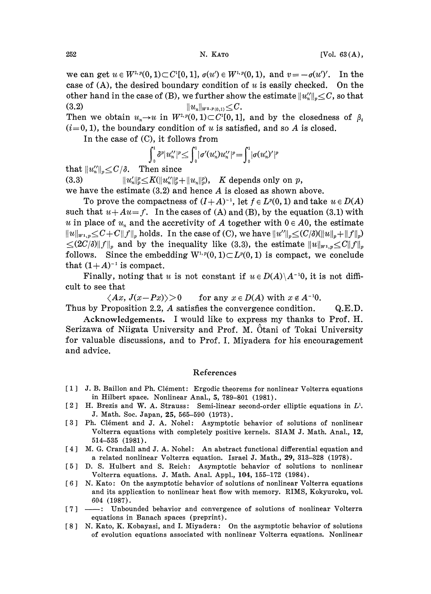we can get  $u \in W^{2, p}(0, 1) \subset C^{1}[0, 1], \sigma(u') \in W^{1, p}(0, 1),$  and  $v = -\sigma(u')'.$  In the case of (A), the desired boundary condition of u is easily checked. On the other hand in the case of (B), we further show the estimate  $||u''_n||_p \leq C$ , so that (3.2)  $||u_n||_{W^{2,p}(0,1)} \leq C.$ 

Then we obtain  $u_n \to u$  in  $W^{2,p}(0, 1) \subset C^1[0, 1]$ , and by the closedness of  $\beta_i$  $(i=0, 1)$ , the boundary condition of u is satisfied, and so A is closed.

In the case of  $(C)$ , it follows from

$$
\int_0^1 \delta^p |u_n''|^p \leq \int_0^1 |\sigma'(u_n')u_n''|^p = \int_0^1 |\sigma(u_n')'|^p
$$

that  $||u''_n||_{\nu} \leq C/\delta$ . Then since

(3.3)  $||u'_n||_2^p \leq K(||u''_n||_2^p + ||u_n||_2^p)$ , K depends only on p, we have the estimate  $(3.2)$  and hence A is closed as shown above.

To prove the compactness of  $(I+A)^{-1}$ , let  $f \in L^p(0,1)$  and take  $u \in D(A)$ such that  $u+Au=f$ . In the cases of (A) and (B), by the equation (3.1) with u in place of  $u_n$  and the accretivity of A together with  $0 \in A_0$ , the estimate  $||u||_{w_1,p} \leq C+C||f||_p$  holds. In the case of (C), we have  $||u''||_p \leq (C/\delta)(||u||_p+||f||_p)$  $\leq (2C/\delta) \|f\|_p$  and by the inequality like (3.3), the estimate  $||u||_{W^{1,p}} \leq C||f||_p$ follows. Since the embedding  $W^{1,p}(0,1)\subset L^p(0,1)$  is compact, we conclude that  $(1+A)^{-1}$  is compact.

 $(1+A)^{-1}$  is compact.<br>Finally, noting that u is not constant if  $u \in D(A) \backslash A^{-1}0$ , it is not difficult to see that

 $\langle Ax, J(x-Px)\rangle > 0$  for any  $x \in D(A)$  with  $x \notin A^{-1}0$ .

Thus by Proposition 2.2, A satisfies the convergence condition. Q.E.D.

Acknowledgements. <sup>I</sup> would like to express my thanks to Prof. H. Serizawa of Niigata University and Prof. M. Otani of Tokai University for valuable discussions, and to Prof. I. Miyadera for his encouragement and advice.

## References

- [1] J.B. Baillon and Ph. Clément: Ergodic theorems for nonlinear Volterra equations in Hilbert space. Nonlinear Anal., 5, 789-801 (1981).
- [2] H. Brezis and W. A. Strauss: Semi-linear second-order elliptic equations in  $L^1$ . J. Math. Soc. Japan, 25, 565-590 (1973).
- [3] Ph. Clément and J. A. Nohel: Asymptotic behavior of solutions of nonlinear Volterra equations with completely positive kernels. SIAM J. Math. Anal., 12, 514-535 (1981).
- [4] M. G. Crandall and J. A. Nohel: An abstract functional differential equation and a related nonlinear Volterra equation. Israel J. Math., 29, 313-328 (1978).
- [5] D. S. Hulbert and S. Reich: Asymptotic behavior ot solutions to nonlinear Volterra equations. J. Math. Anal. Appl., 104, 155-172 (1984).
- $[6]$  N. Kato: On the asymptotic behavior of solutions of nonlinear Volterra equations and its application to nonlinear heat flow with memory. RIMS, Kokyuroku, vol. 604 (1987).
- [7] ----: Unbounded behavior and convergence of solutions of nonlinear Volterra equations in Banach spaces (preprint).
- [8] N. Kato, K. Kobayasi, and I. Miyadera: On the asymptotic behavior of solutions of evolution equations associated with nonlinear Volterra equations. Nonlinear